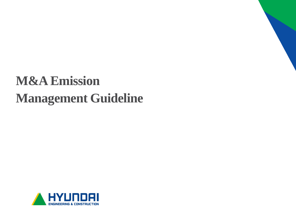# **M&A Emission Management Guideline**

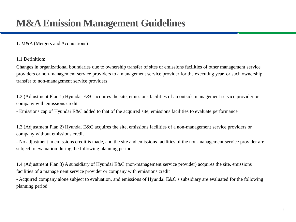## **M&A Emission Management Guidelines**

### 1. M&A (Mergers and Acquisitions)

1.1 Definition:

Changes in organizational boundaries due to ownership transfer of sites or emissions facilities of other management service providers or non-management service providers to a management service provider for the executing year, or such ownership transfer to non-management service providers

1.2 (Adjustment Plan 1) Hyundai E&C acquires the site, emissions facilities of an outside management service provider or company with emissions credit

- Emissions cap of Hyundai E&C added to that of the acquired site, emissions facilities to evaluate performance

1.3 (Adjustment Plan 2) Hyundai E&C acquires the site, emissions facilities of a non-management service providers or company without emissions credit

- No adjustment in emissions credit is made, and the site and emissions facilities of the non-management service provider are subject to evaluation during the following planning period.

1.4 (Adjustment Plan 3) A subsidiary of Hyundai E&C (non-management service provider) acquires the site, emissions facilities of a management service provider or company with emissions credit

- Acquired company alone subject to evaluation, and emissions of Hyundai E&C's subsidiary are evaluated for the following planning period.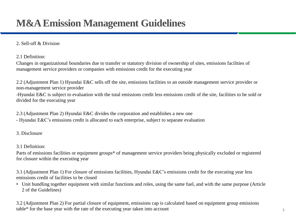# **M&A Emission Management Guidelines**

### 2. Sell-off & Division

2.1 Definition:

Changes in organizational boundaries due to transfer or statutory division of ownership of sites, emissions facilities of management service providers or companies with emissions credit for the executing year

2.2 (Adjustment Plan 1) Hyundai E&C sells off the site, emissions facilities to an outside management service provider or non-management service provider

-Hyundai E&C is subject to evaluation with the total emissions credit less emissions credit of the site, facilities to be sold or divided for the executing year

2.3 (Adjustment Plan 2) Hyundai E&C divides the corporation and establishes a new one

- Hyundai E&C's emissions credit is allocated to each enterprise, subject to separate evaluation

3. Disclosure

3.1 Definition:

Parts of emissions facilities or equipment groups\* of management service providers being physically excluded or registered for closure within the executing year

3.1 (Adjustment Plan 1) For closure of emissions facilities, Hyundai E&C's emissions credit for the executing year less emissions credit of facilities to be closed

• Unit bundling together equipment with similar functions and roles, using the same fuel, and with the same purpose (Article 2 of the Guidelines)

3.2 (Adjustment Plan 2) For partial closure of equipment, emissions cap is calculated based on equipment group emissions table\* for the base year with the rate of the executing year taken into account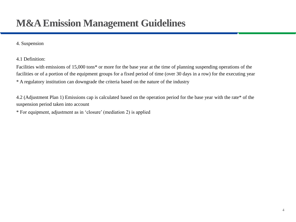## **M&A Emission Management Guidelines**

#### 4. Suspension

4.1 Definition:

Facilities with emissions of 15,000 tons\* or more for the base year at the time of planning suspending operations of the facilities or of a portion of the equipment groups for a fixed period of time (over 30 days in a row) for the executing year \* A regulatory institution can downgrade the criteria based on the nature of the industry

4.2 (Adjustment Plan 1) Emissions cap is calculated based on the operation period for the base year with the rate\* of the suspension period taken into account

\* For equipment, adjustment as in 'closure' (mediation 2) is applied